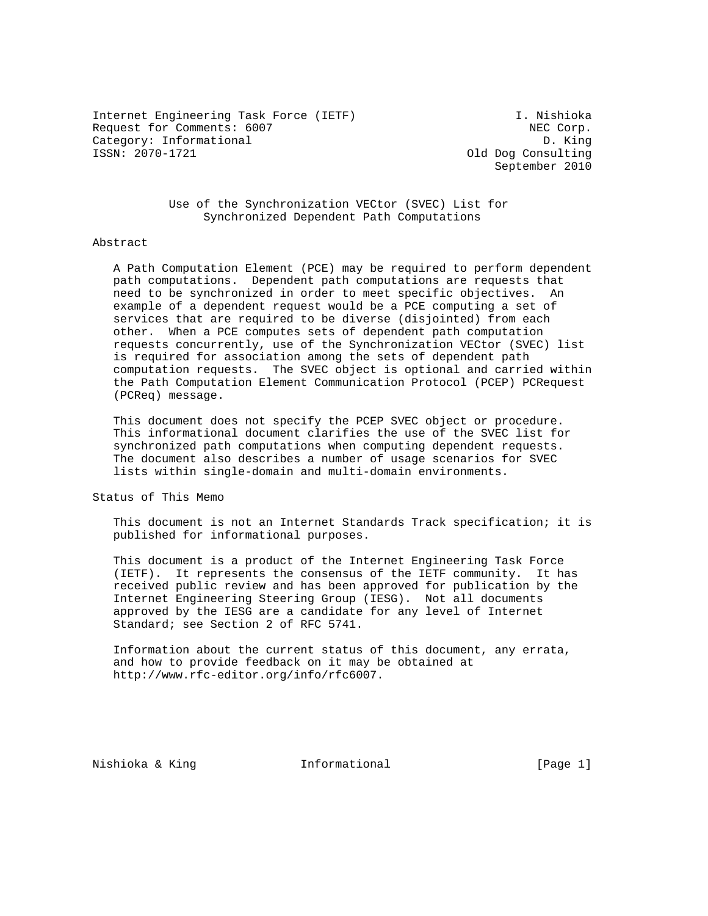Internet Engineering Task Force (IETF) I. Nishioka Request for Comments: 6007 NEC Corp. Category: Informational D. King<br>
ISSN: 2070-1721 01d Dog Consulting

Old Dog Consulting September 2010

 Use of the Synchronization VECtor (SVEC) List for Synchronized Dependent Path Computations

#### Abstract

 A Path Computation Element (PCE) may be required to perform dependent path computations. Dependent path computations are requests that need to be synchronized in order to meet specific objectives. An example of a dependent request would be a PCE computing a set of services that are required to be diverse (disjointed) from each other. When a PCE computes sets of dependent path computation requests concurrently, use of the Synchronization VECtor (SVEC) list is required for association among the sets of dependent path computation requests. The SVEC object is optional and carried within the Path Computation Element Communication Protocol (PCEP) PCRequest (PCReq) message.

 This document does not specify the PCEP SVEC object or procedure. This informational document clarifies the use of the SVEC list for synchronized path computations when computing dependent requests. The document also describes a number of usage scenarios for SVEC lists within single-domain and multi-domain environments.

Status of This Memo

 This document is not an Internet Standards Track specification; it is published for informational purposes.

 This document is a product of the Internet Engineering Task Force (IETF). It represents the consensus of the IETF community. It has received public review and has been approved for publication by the Internet Engineering Steering Group (IESG). Not all documents approved by the IESG are a candidate for any level of Internet Standard; see Section 2 of RFC 5741.

 Information about the current status of this document, any errata, and how to provide feedback on it may be obtained at http://www.rfc-editor.org/info/rfc6007.

Nishioka & King **Informational Informational** [Page 1]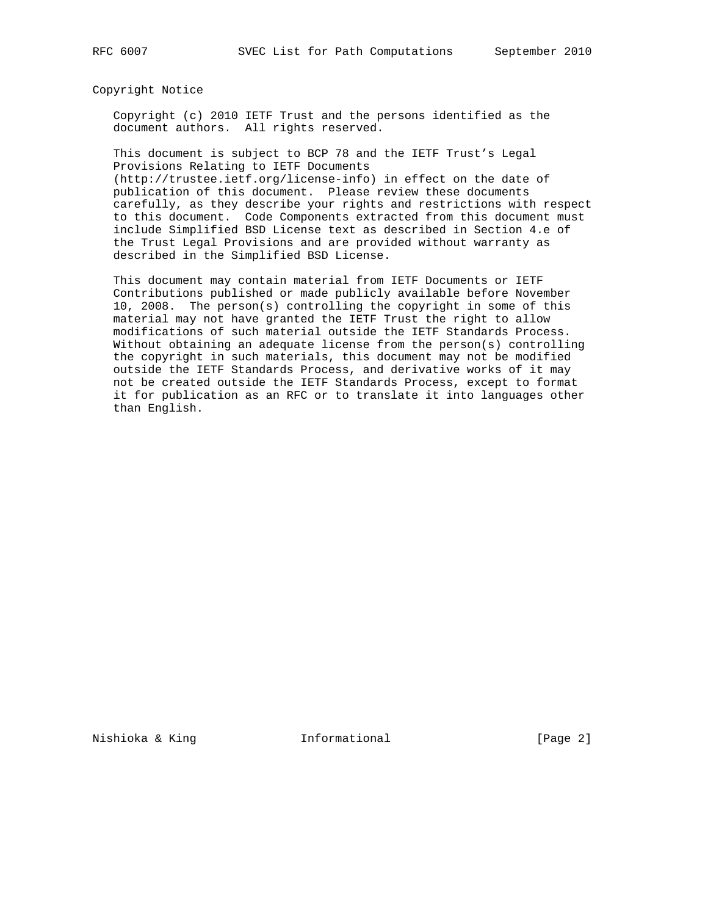Copyright Notice

 Copyright (c) 2010 IETF Trust and the persons identified as the document authors. All rights reserved.

 This document is subject to BCP 78 and the IETF Trust's Legal Provisions Relating to IETF Documents (http://trustee.ietf.org/license-info) in effect on the date of

 publication of this document. Please review these documents carefully, as they describe your rights and restrictions with respect to this document. Code Components extracted from this document must include Simplified BSD License text as described in Section 4.e of the Trust Legal Provisions and are provided without warranty as described in the Simplified BSD License.

 This document may contain material from IETF Documents or IETF Contributions published or made publicly available before November 10, 2008. The person(s) controlling the copyright in some of this material may not have granted the IETF Trust the right to allow modifications of such material outside the IETF Standards Process. Without obtaining an adequate license from the person(s) controlling the copyright in such materials, this document may not be modified outside the IETF Standards Process, and derivative works of it may not be created outside the IETF Standards Process, except to format it for publication as an RFC or to translate it into languages other than English.

Nishioka & King **Informational Informational** [Page 2]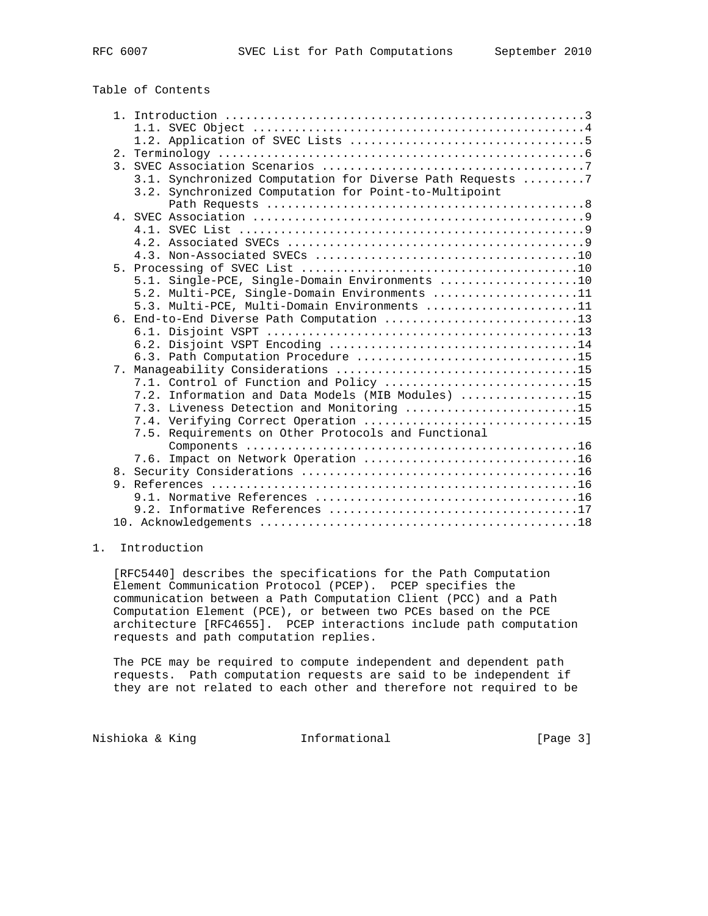# Table of Contents

|                | 3.1. Synchronized Computation for Diverse Path Requests 7 |
|----------------|-----------------------------------------------------------|
|                | 3.2. Synchronized Computation for Point-to-Multipoint     |
|                |                                                           |
|                |                                                           |
|                |                                                           |
|                |                                                           |
|                |                                                           |
|                |                                                           |
|                | 5.1. Single-PCE, Single-Domain Environments 10            |
|                | 5.2. Multi-PCE, Single-Domain Environments 11             |
|                | 5.3. Multi-PCE, Multi-Domain Environments 11              |
|                | 6. End-to-End Diverse Path Computation 13                 |
|                |                                                           |
|                |                                                           |
|                |                                                           |
|                |                                                           |
|                | 7.1. Control of Function and Policy 15                    |
|                | 7.2. Information and Data Models (MIB Modules) 15         |
|                | 7.3. Liveness Detection and Monitoring 15                 |
|                | 7.4. Verifying Correct Operation 15                       |
|                | 7.5. Requirements on Other Protocols and Functional       |
|                |                                                           |
|                | 7.6. Impact on Network Operation 16                       |
| 8 <sub>1</sub> |                                                           |
|                |                                                           |
|                |                                                           |
|                |                                                           |
|                |                                                           |

# 1. Introduction

 [RFC5440] describes the specifications for the Path Computation Element Communication Protocol (PCEP). PCEP specifies the communication between a Path Computation Client (PCC) and a Path Computation Element (PCE), or between two PCEs based on the PCE architecture [RFC4655]. PCEP interactions include path computation requests and path computation replies.

 The PCE may be required to compute independent and dependent path requests. Path computation requests are said to be independent if they are not related to each other and therefore not required to be

Nishioka & King **Informational Informational** [Page 3]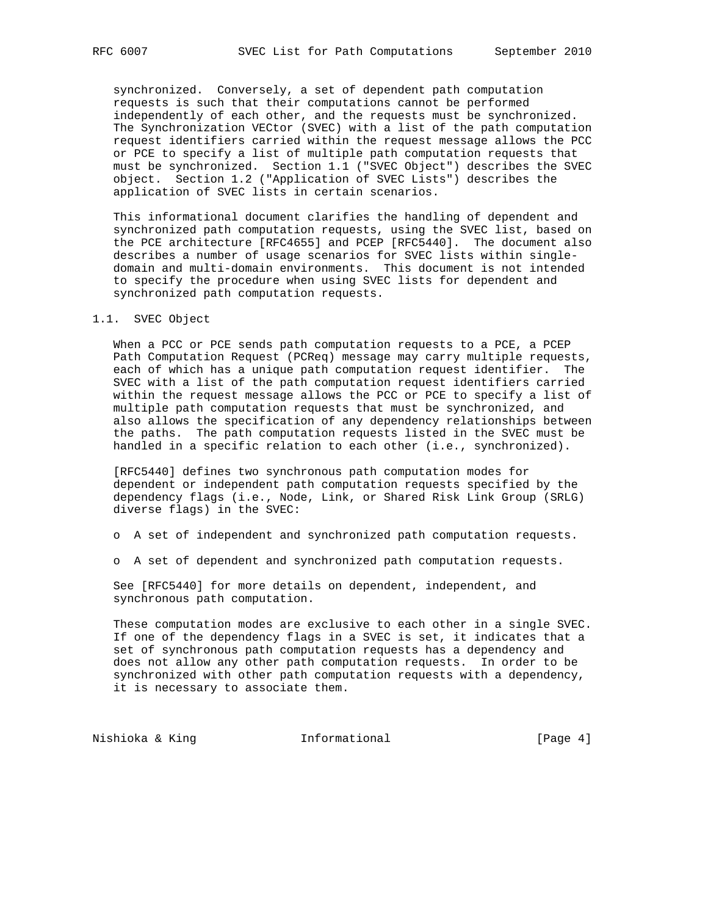synchronized. Conversely, a set of dependent path computation requests is such that their computations cannot be performed independently of each other, and the requests must be synchronized. The Synchronization VECtor (SVEC) with a list of the path computation request identifiers carried within the request message allows the PCC or PCE to specify a list of multiple path computation requests that must be synchronized. Section 1.1 ("SVEC Object") describes the SVEC object. Section 1.2 ("Application of SVEC Lists") describes the application of SVEC lists in certain scenarios.

 This informational document clarifies the handling of dependent and synchronized path computation requests, using the SVEC list, based on the PCE architecture [RFC4655] and PCEP [RFC5440]. The document also describes a number of usage scenarios for SVEC lists within single domain and multi-domain environments. This document is not intended to specify the procedure when using SVEC lists for dependent and synchronized path computation requests.

#### 1.1. SVEC Object

 When a PCC or PCE sends path computation requests to a PCE, a PCEP Path Computation Request (PCReq) message may carry multiple requests, each of which has a unique path computation request identifier. The SVEC with a list of the path computation request identifiers carried within the request message allows the PCC or PCE to specify a list of multiple path computation requests that must be synchronized, and also allows the specification of any dependency relationships between the paths. The path computation requests listed in the SVEC must be handled in a specific relation to each other (i.e., synchronized).

 [RFC5440] defines two synchronous path computation modes for dependent or independent path computation requests specified by the dependency flags (i.e., Node, Link, or Shared Risk Link Group (SRLG) diverse flags) in the SVEC:

o A set of independent and synchronized path computation requests.

o A set of dependent and synchronized path computation requests.

 See [RFC5440] for more details on dependent, independent, and synchronous path computation.

 These computation modes are exclusive to each other in a single SVEC. If one of the dependency flags in a SVEC is set, it indicates that a set of synchronous path computation requests has a dependency and does not allow any other path computation requests. In order to be synchronized with other path computation requests with a dependency, it is necessary to associate them.

Nishioka & King **Informational Informational** [Page 4]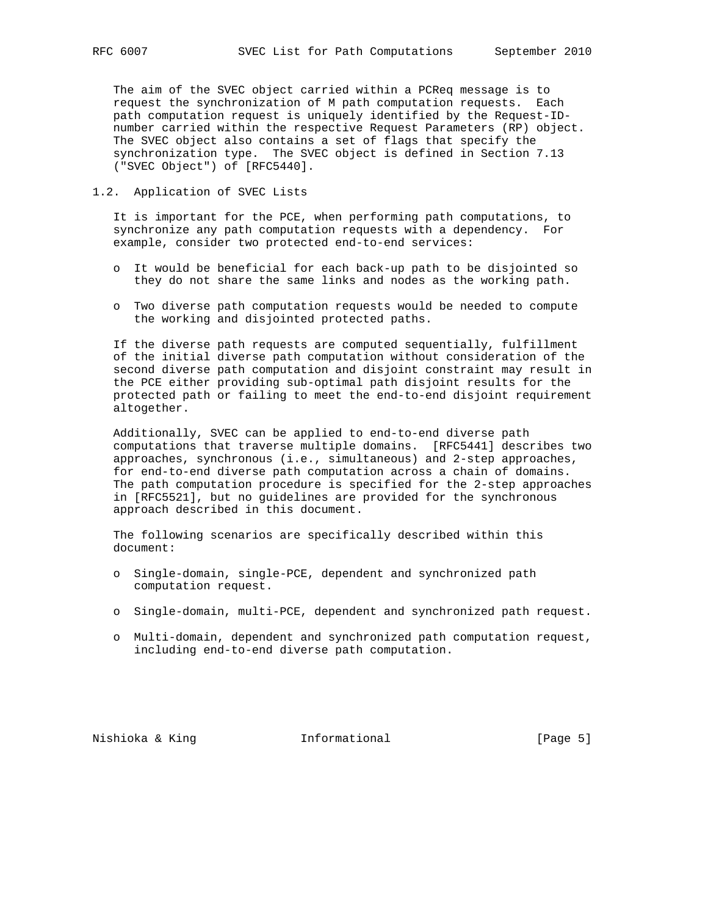The aim of the SVEC object carried within a PCReq message is to request the synchronization of M path computation requests. Each path computation request is uniquely identified by the Request-ID number carried within the respective Request Parameters (RP) object. The SVEC object also contains a set of flags that specify the synchronization type. The SVEC object is defined in Section 7.13 ("SVEC Object") of [RFC5440].

### 1.2. Application of SVEC Lists

 It is important for the PCE, when performing path computations, to synchronize any path computation requests with a dependency. For example, consider two protected end-to-end services:

- o It would be beneficial for each back-up path to be disjointed so they do not share the same links and nodes as the working path.
- o Two diverse path computation requests would be needed to compute the working and disjointed protected paths.

 If the diverse path requests are computed sequentially, fulfillment of the initial diverse path computation without consideration of the second diverse path computation and disjoint constraint may result in the PCE either providing sub-optimal path disjoint results for the protected path or failing to meet the end-to-end disjoint requirement altogether.

 Additionally, SVEC can be applied to end-to-end diverse path computations that traverse multiple domains. [RFC5441] describes two approaches, synchronous (i.e., simultaneous) and 2-step approaches, for end-to-end diverse path computation across a chain of domains. The path computation procedure is specified for the 2-step approaches in [RFC5521], but no guidelines are provided for the synchronous approach described in this document.

 The following scenarios are specifically described within this document:

- o Single-domain, single-PCE, dependent and synchronized path computation request.
- o Single-domain, multi-PCE, dependent and synchronized path request.
- o Multi-domain, dependent and synchronized path computation request, including end-to-end diverse path computation.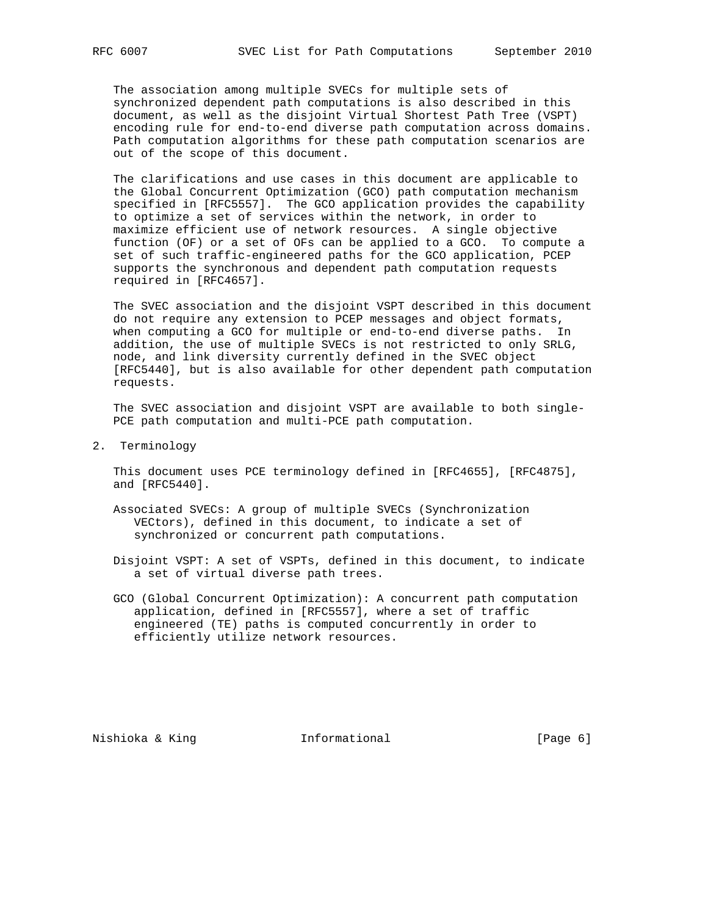The association among multiple SVECs for multiple sets of synchronized dependent path computations is also described in this document, as well as the disjoint Virtual Shortest Path Tree (VSPT) encoding rule for end-to-end diverse path computation across domains. Path computation algorithms for these path computation scenarios are out of the scope of this document.

 The clarifications and use cases in this document are applicable to the Global Concurrent Optimization (GCO) path computation mechanism specified in [RFC5557]. The GCO application provides the capability to optimize a set of services within the network, in order to maximize efficient use of network resources. A single objective function (OF) or a set of OFs can be applied to a GCO. To compute a set of such traffic-engineered paths for the GCO application, PCEP supports the synchronous and dependent path computation requests required in [RFC4657].

 The SVEC association and the disjoint VSPT described in this document do not require any extension to PCEP messages and object formats, when computing a GCO for multiple or end-to-end diverse paths. In addition, the use of multiple SVECs is not restricted to only SRLG, node, and link diversity currently defined in the SVEC object [RFC5440], but is also available for other dependent path computation requests.

 The SVEC association and disjoint VSPT are available to both single- PCE path computation and multi-PCE path computation.

2. Terminology

 This document uses PCE terminology defined in [RFC4655], [RFC4875], and [RFC5440].

- Associated SVECs: A group of multiple SVECs (Synchronization VECtors), defined in this document, to indicate a set of synchronized or concurrent path computations.
- Disjoint VSPT: A set of VSPTs, defined in this document, to indicate a set of virtual diverse path trees.
- GCO (Global Concurrent Optimization): A concurrent path computation application, defined in [RFC5557], where a set of traffic engineered (TE) paths is computed concurrently in order to efficiently utilize network resources.

Nishioka & King **Informational Informational** [Page 6]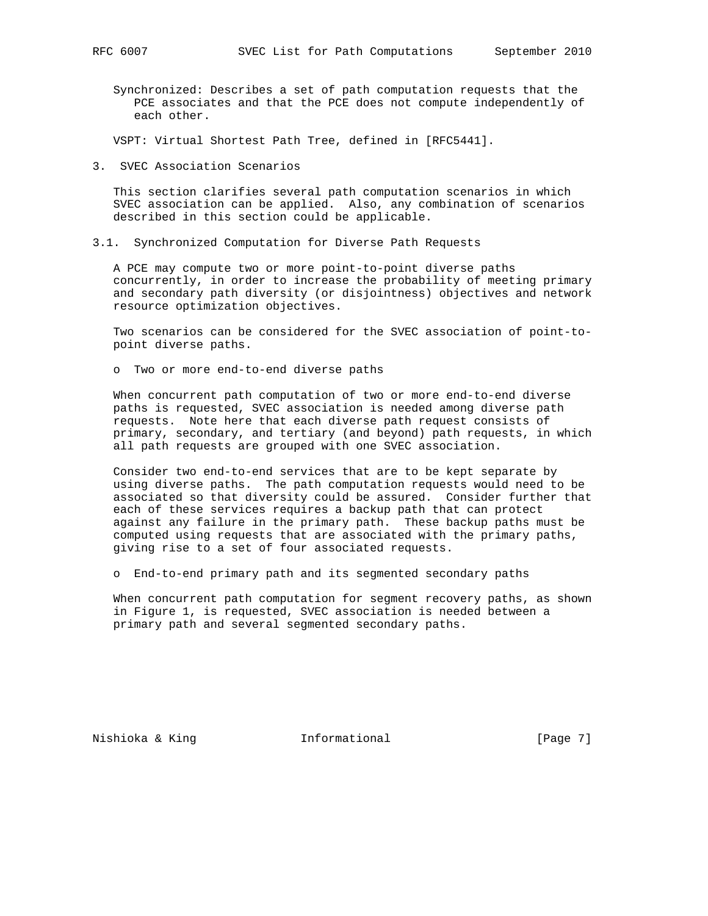Synchronized: Describes a set of path computation requests that the PCE associates and that the PCE does not compute independently of each other.

VSPT: Virtual Shortest Path Tree, defined in [RFC5441].

3. SVEC Association Scenarios

 This section clarifies several path computation scenarios in which SVEC association can be applied. Also, any combination of scenarios described in this section could be applicable.

3.1. Synchronized Computation for Diverse Path Requests

 A PCE may compute two or more point-to-point diverse paths concurrently, in order to increase the probability of meeting primary and secondary path diversity (or disjointness) objectives and network resource optimization objectives.

 Two scenarios can be considered for the SVEC association of point-to point diverse paths.

o Two or more end-to-end diverse paths

 When concurrent path computation of two or more end-to-end diverse paths is requested, SVEC association is needed among diverse path requests. Note here that each diverse path request consists of primary, secondary, and tertiary (and beyond) path requests, in which all path requests are grouped with one SVEC association.

 Consider two end-to-end services that are to be kept separate by using diverse paths. The path computation requests would need to be associated so that diversity could be assured. Consider further that each of these services requires a backup path that can protect against any failure in the primary path. These backup paths must be computed using requests that are associated with the primary paths, giving rise to a set of four associated requests.

o End-to-end primary path and its segmented secondary paths

 When concurrent path computation for segment recovery paths, as shown in Figure 1, is requested, SVEC association is needed between a primary path and several segmented secondary paths.

Nishioka & King **Informational Informational** [Page 7]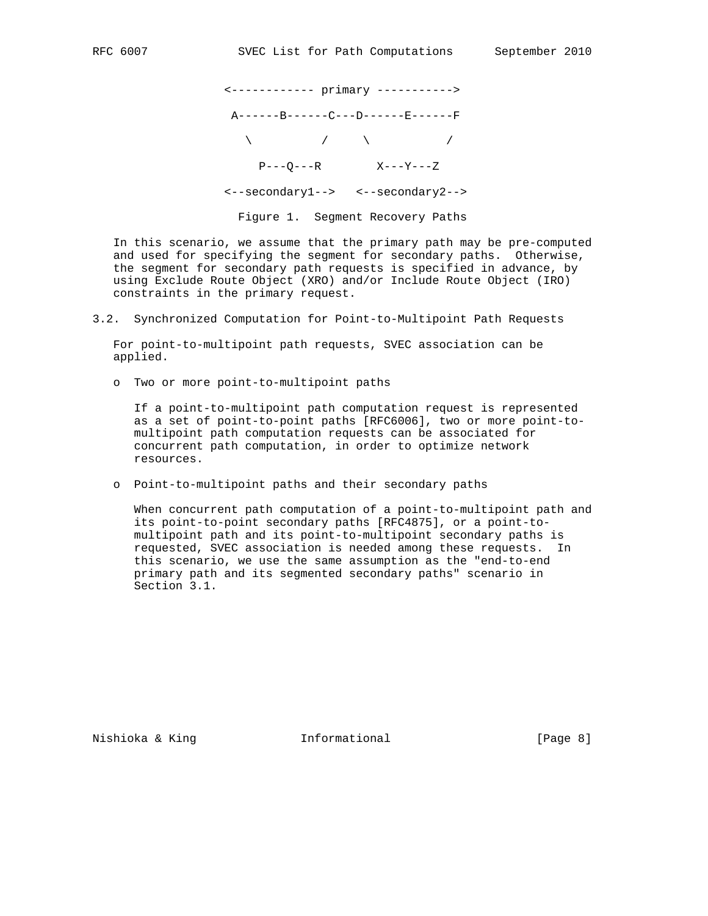<------------ primary -----------> A------B------C---D------E------F  $\lambda$  /  $\lambda$  /  $\lambda$  $P---Q---R$   $X---Y---Z$  <--secondary1--> <--secondary2--> Figure 1. Segment Recovery Paths

 In this scenario, we assume that the primary path may be pre-computed and used for specifying the segment for secondary paths. Otherwise, the segment for secondary path requests is specified in advance, by using Exclude Route Object (XRO) and/or Include Route Object (IRO) constraints in the primary request.

3.2. Synchronized Computation for Point-to-Multipoint Path Requests

 For point-to-multipoint path requests, SVEC association can be applied.

o Two or more point-to-multipoint paths

 If a point-to-multipoint path computation request is represented as a set of point-to-point paths [RFC6006], two or more point-to multipoint path computation requests can be associated for concurrent path computation, in order to optimize network resources.

o Point-to-multipoint paths and their secondary paths

 When concurrent path computation of a point-to-multipoint path and its point-to-point secondary paths [RFC4875], or a point-to multipoint path and its point-to-multipoint secondary paths is requested, SVEC association is needed among these requests. In this scenario, we use the same assumption as the "end-to-end primary path and its segmented secondary paths" scenario in Section 3.1.

Nishioka & King **Informational Informational** [Page 8]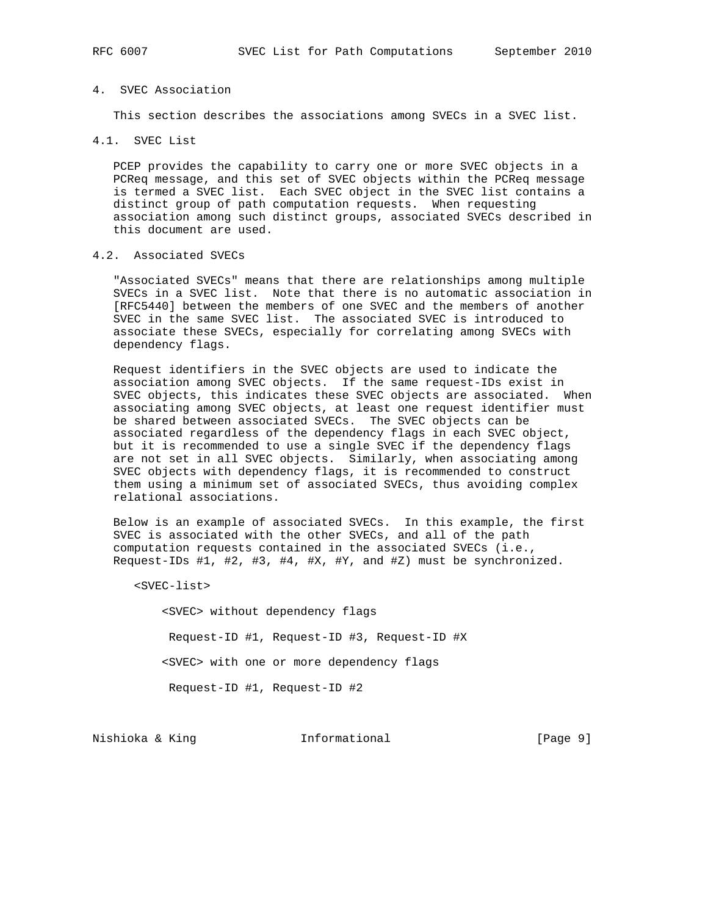## 4. SVEC Association

This section describes the associations among SVECs in a SVEC list.

4.1. SVEC List

 PCEP provides the capability to carry one or more SVEC objects in a PCReq message, and this set of SVEC objects within the PCReq message is termed a SVEC list. Each SVEC object in the SVEC list contains a distinct group of path computation requests. When requesting association among such distinct groups, associated SVECs described in this document are used.

## 4.2. Associated SVECs

 "Associated SVECs" means that there are relationships among multiple SVECs in a SVEC list. Note that there is no automatic association in [RFC5440] between the members of one SVEC and the members of another SVEC in the same SVEC list. The associated SVEC is introduced to associate these SVECs, especially for correlating among SVECs with dependency flags.

 Request identifiers in the SVEC objects are used to indicate the association among SVEC objects. If the same request-IDs exist in SVEC objects, this indicates these SVEC objects are associated. When associating among SVEC objects, at least one request identifier must be shared between associated SVECs. The SVEC objects can be associated regardless of the dependency flags in each SVEC object, but it is recommended to use a single SVEC if the dependency flags are not set in all SVEC objects. Similarly, when associating among SVEC objects with dependency flags, it is recommended to construct them using a minimum set of associated SVECs, thus avoiding complex relational associations.

 Below is an example of associated SVECs. In this example, the first SVEC is associated with the other SVECs, and all of the path computation requests contained in the associated SVECs (i.e., Request-IDs #1, #2, #3, #4, #X, #Y, and #Z) must be synchronized.

<SVEC-list>

 <SVEC> without dependency flags Request-ID #1, Request-ID #3, Request-ID #X <SVEC> with one or more dependency flags Request-ID #1, Request-ID #2

Nishioka & King **Informational Informational** [Page 9]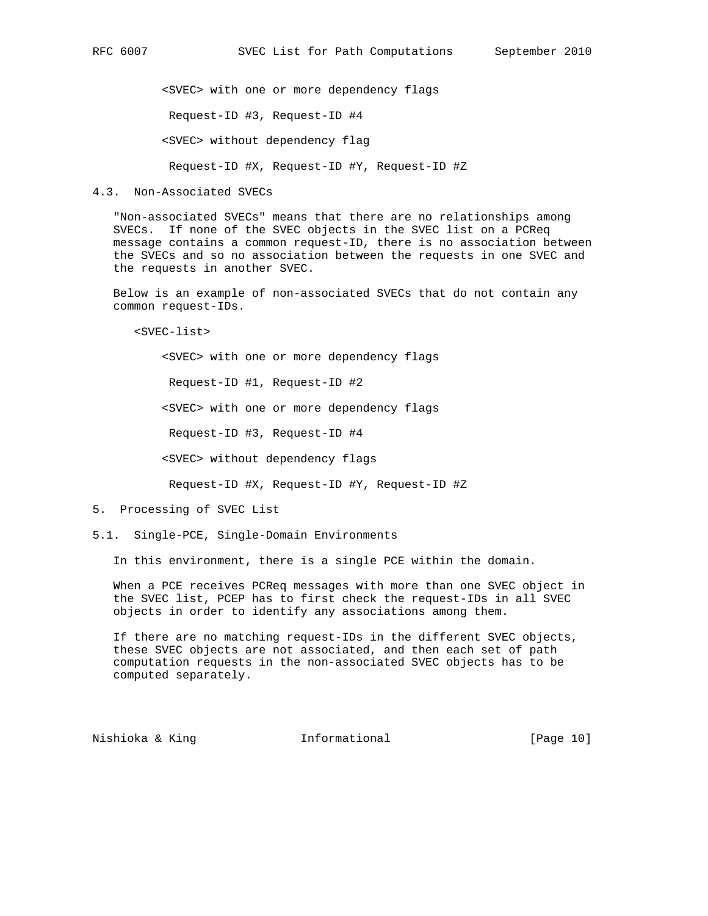<SVEC> with one or more dependency flags Request-ID #3, Request-ID #4 <SVEC> without dependency flag

Request-ID #X, Request-ID #Y, Request-ID #Z

#### 4.3. Non-Associated SVECs

 "Non-associated SVECs" means that there are no relationships among SVECs. If none of the SVEC objects in the SVEC list on a PCReq message contains a common request-ID, there is no association between the SVECs and so no association between the requests in one SVEC and the requests in another SVEC.

 Below is an example of non-associated SVECs that do not contain any common request-IDs.

<SVEC-list>

 <SVEC> with one or more dependency flags Request-ID #1, Request-ID #2 <SVEC> with one or more dependency flags Request-ID #3, Request-ID #4 <SVEC> without dependency flags

Request-ID #X, Request-ID #Y, Request-ID #Z

#### 5. Processing of SVEC List

5.1. Single-PCE, Single-Domain Environments

In this environment, there is a single PCE within the domain.

 When a PCE receives PCReq messages with more than one SVEC object in the SVEC list, PCEP has to first check the request-IDs in all SVEC objects in order to identify any associations among them.

 If there are no matching request-IDs in the different SVEC objects, these SVEC objects are not associated, and then each set of path computation requests in the non-associated SVEC objects has to be computed separately.

Nishioka & King **Informational** [Page 10]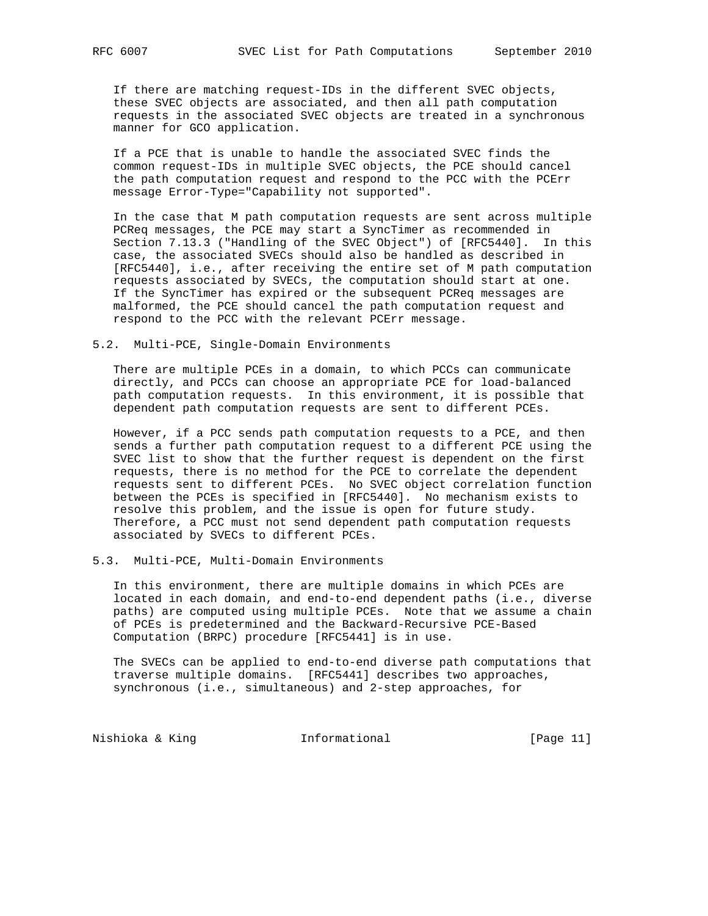If there are matching request-IDs in the different SVEC objects, these SVEC objects are associated, and then all path computation requests in the associated SVEC objects are treated in a synchronous manner for GCO application.

 If a PCE that is unable to handle the associated SVEC finds the common request-IDs in multiple SVEC objects, the PCE should cancel the path computation request and respond to the PCC with the PCErr message Error-Type="Capability not supported".

 In the case that M path computation requests are sent across multiple PCReq messages, the PCE may start a SyncTimer as recommended in Section 7.13.3 ("Handling of the SVEC Object") of [RFC5440]. In this case, the associated SVECs should also be handled as described in [RFC5440], i.e., after receiving the entire set of M path computation requests associated by SVECs, the computation should start at one. If the SyncTimer has expired or the subsequent PCReq messages are malformed, the PCE should cancel the path computation request and respond to the PCC with the relevant PCErr message.

#### 5.2. Multi-PCE, Single-Domain Environments

 There are multiple PCEs in a domain, to which PCCs can communicate directly, and PCCs can choose an appropriate PCE for load-balanced path computation requests. In this environment, it is possible that dependent path computation requests are sent to different PCEs.

 However, if a PCC sends path computation requests to a PCE, and then sends a further path computation request to a different PCE using the SVEC list to show that the further request is dependent on the first requests, there is no method for the PCE to correlate the dependent requests sent to different PCEs. No SVEC object correlation function between the PCEs is specified in [RFC5440]. No mechanism exists to resolve this problem, and the issue is open for future study. Therefore, a PCC must not send dependent path computation requests associated by SVECs to different PCEs.

#### 5.3. Multi-PCE, Multi-Domain Environments

 In this environment, there are multiple domains in which PCEs are located in each domain, and end-to-end dependent paths (i.e., diverse paths) are computed using multiple PCEs. Note that we assume a chain of PCEs is predetermined and the Backward-Recursive PCE-Based Computation (BRPC) procedure [RFC5441] is in use.

 The SVECs can be applied to end-to-end diverse path computations that traverse multiple domains. [RFC5441] describes two approaches, synchronous (i.e., simultaneous) and 2-step approaches, for

Nishioka & King **Informational** [Page 11]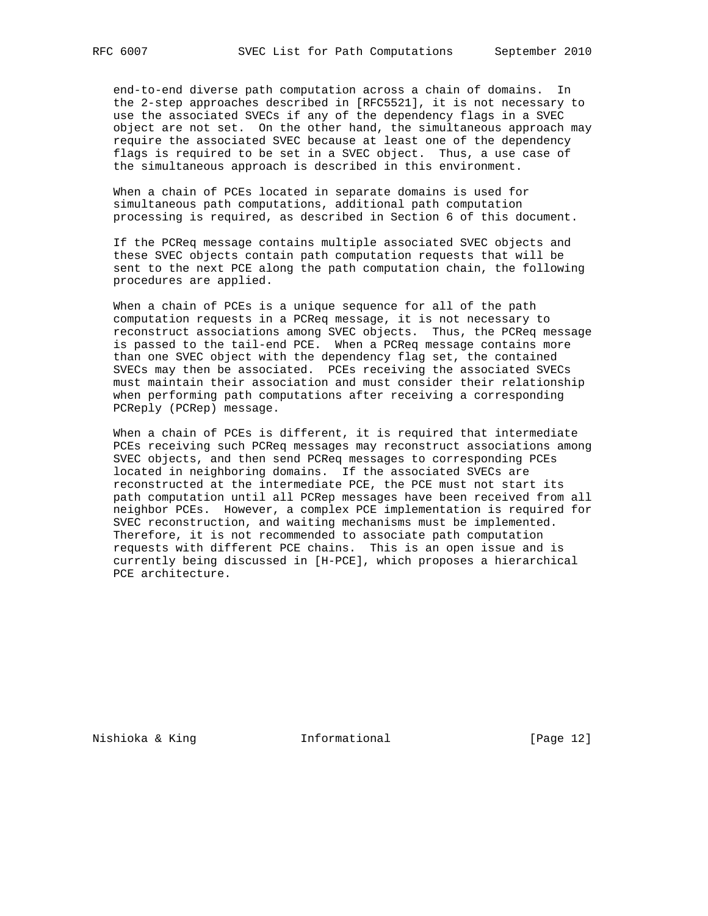end-to-end diverse path computation across a chain of domains. In the 2-step approaches described in [RFC5521], it is not necessary to use the associated SVECs if any of the dependency flags in a SVEC object are not set. On the other hand, the simultaneous approach may require the associated SVEC because at least one of the dependency flags is required to be set in a SVEC object. Thus, a use case of the simultaneous approach is described in this environment.

 When a chain of PCEs located in separate domains is used for simultaneous path computations, additional path computation processing is required, as described in Section 6 of this document.

 If the PCReq message contains multiple associated SVEC objects and these SVEC objects contain path computation requests that will be sent to the next PCE along the path computation chain, the following procedures are applied.

 When a chain of PCEs is a unique sequence for all of the path computation requests in a PCReq message, it is not necessary to reconstruct associations among SVEC objects. Thus, the PCReq message is passed to the tail-end PCE. When a PCReq message contains more than one SVEC object with the dependency flag set, the contained SVECs may then be associated. PCEs receiving the associated SVECs must maintain their association and must consider their relationship when performing path computations after receiving a corresponding PCReply (PCRep) message.

 When a chain of PCEs is different, it is required that intermediate PCEs receiving such PCReq messages may reconstruct associations among SVEC objects, and then send PCReq messages to corresponding PCEs located in neighboring domains. If the associated SVECs are reconstructed at the intermediate PCE, the PCE must not start its path computation until all PCRep messages have been received from all neighbor PCEs. However, a complex PCE implementation is required for SVEC reconstruction, and waiting mechanisms must be implemented. Therefore, it is not recommended to associate path computation requests with different PCE chains. This is an open issue and is currently being discussed in [H-PCE], which proposes a hierarchical PCE architecture.

Nishioka & King **Informational** [Page 12]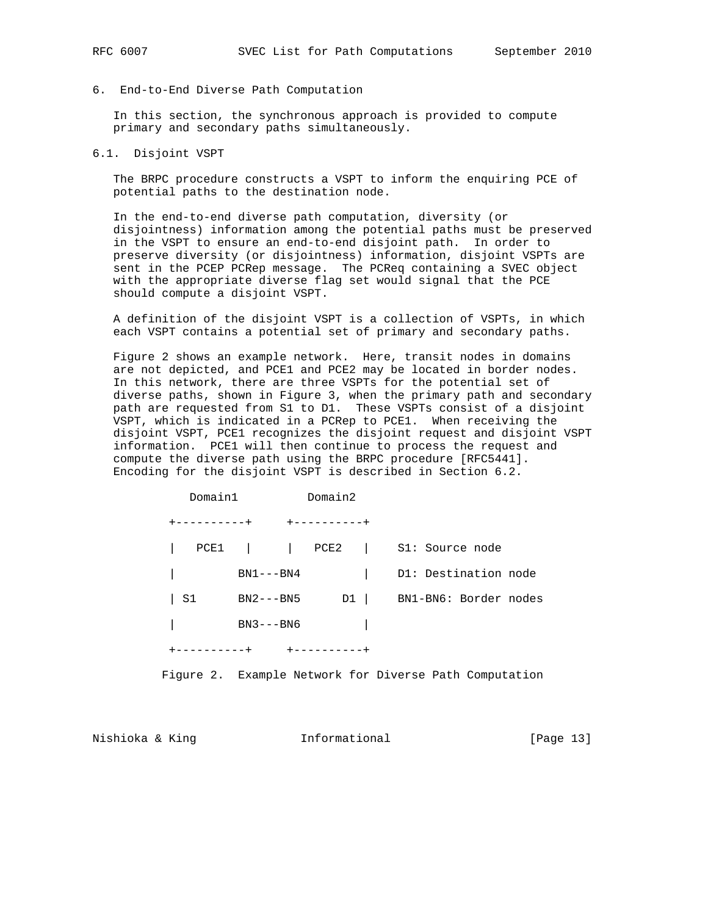6. End-to-End Diverse Path Computation

 In this section, the synchronous approach is provided to compute primary and secondary paths simultaneously.

6.1. Disjoint VSPT

 The BRPC procedure constructs a VSPT to inform the enquiring PCE of potential paths to the destination node.

 In the end-to-end diverse path computation, diversity (or disjointness) information among the potential paths must be preserved in the VSPT to ensure an end-to-end disjoint path. In order to preserve diversity (or disjointness) information, disjoint VSPTs are sent in the PCEP PCRep message. The PCReq containing a SVEC object with the appropriate diverse flag set would signal that the PCE should compute a disjoint VSPT.

 A definition of the disjoint VSPT is a collection of VSPTs, in which each VSPT contains a potential set of primary and secondary paths.

 Figure 2 shows an example network. Here, transit nodes in domains are not depicted, and PCE1 and PCE2 may be located in border nodes. In this network, there are three VSPTs for the potential set of diverse paths, shown in Figure 3, when the primary path and secondary path are requested from S1 to D1. These VSPTs consist of a disjoint VSPT, which is indicated in a PCRep to PCE1. When receiving the disjoint VSPT, PCE1 recognizes the disjoint request and disjoint VSPT information. PCE1 will then continue to process the request and compute the diverse path using the BRPC procedure [RFC5441]. Encoding for the disjoint VSPT is described in Section 6.2.

|    | Domain1                   | Domain2 |                                      |
|----|---------------------------|---------|--------------------------------------|
|    | +----------+ +----------+ |         |                                      |
|    |                           |         | PCE1     PCE2   S1: Source node      |
|    |                           |         | BN1---BN4   D1: Destination node     |
| S1 |                           |         | BN2---BN5 D1   BN1-BN6: Border nodes |
|    | BN3---BN6                 |         |                                      |
|    | +----------+ +----------+ |         |                                      |

Figure 2. Example Network for Diverse Path Computation

Nishioka & King **Informational** [Page 13]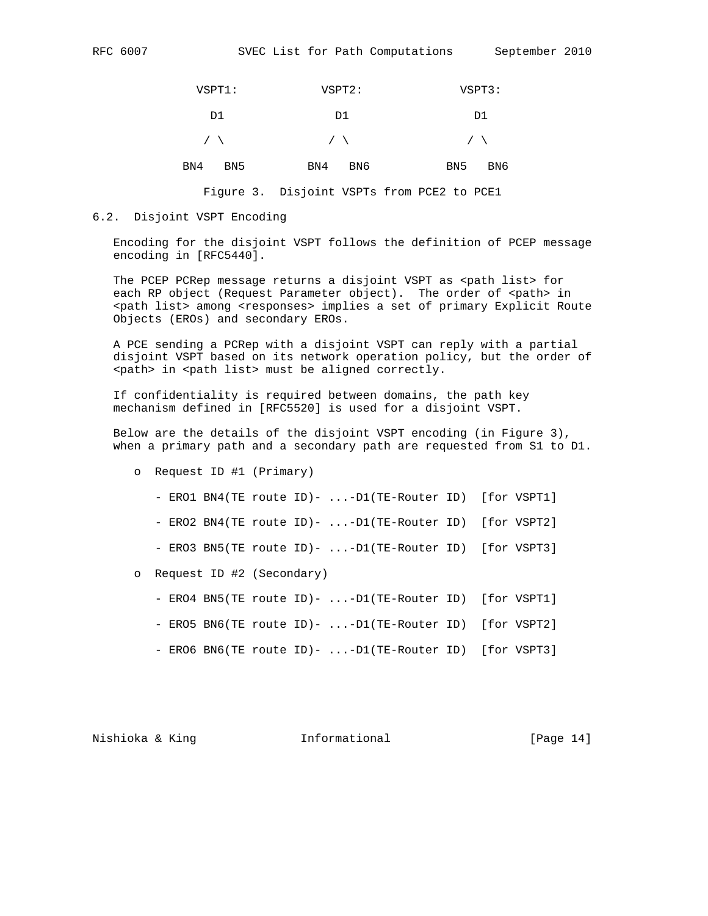| RFC. | 6007 |
|------|------|
|      |      |

| $VSPT1$ :              | VSPT2:     | VSPT3:                 |
|------------------------|------------|------------------------|
| D1                     | D1         | D1                     |
| $\sqrt{2}$             | $\sqrt{2}$ | $\sqrt{2}$             |
| BN4<br>BN <sub>5</sub> | BN6<br>BN4 | BN <sub>5</sub><br>BN6 |

Figure 3. Disjoint VSPTs from PCE2 to PCE1

#### 6.2. Disjoint VSPT Encoding

 Encoding for the disjoint VSPT follows the definition of PCEP message encoding in [RFC5440].

The PCEP PCRep message returns a disjoint VSPT as <path list> for each RP object (Request Parameter object). The order of <path> in <path list> among <responses> implies a set of primary Explicit Route Objects (EROs) and secondary EROs.

 A PCE sending a PCRep with a disjoint VSPT can reply with a partial disjoint VSPT based on its network operation policy, but the order of <path> in <path list> must be aligned correctly.

 If confidentiality is required between domains, the path key mechanism defined in [RFC5520] is used for a disjoint VSPT.

 Below are the details of the disjoint VSPT encoding (in Figure 3), when a primary path and a secondary path are requested from S1 to D1.

- o Request ID #1 (Primary)
	- ERO1 BN4(TE route ID)- ...-D1(TE-Router ID) [for VSPT1]
	- ERO2 BN4(TE route ID)- ...-D1(TE-Router ID) [for VSPT2]
	- ERO3 BN5(TE route ID)- ...-D1(TE-Router ID) [for VSPT3]
- o Request ID #2 (Secondary)
	- ERO4 BN5(TE route ID)- ...-D1(TE-Router ID) [for VSPT1]
	- ERO5 BN6(TE route ID)- ...-D1(TE-Router ID) [for VSPT2]
	- ERO6 BN6(TE route ID) ...-D1(TE-Router ID) [for VSPT3]

Nishioka & King **Informational** [Page 14]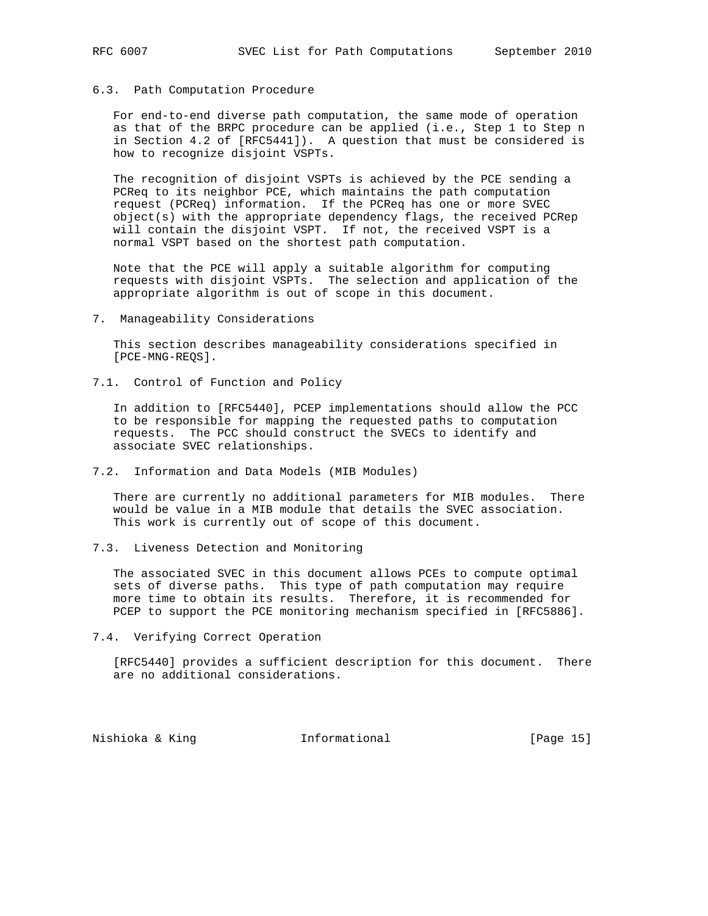#### 6.3. Path Computation Procedure

 For end-to-end diverse path computation, the same mode of operation as that of the BRPC procedure can be applied (i.e., Step 1 to Step n in Section 4.2 of [RFC5441]). A question that must be considered is how to recognize disjoint VSPTs.

 The recognition of disjoint VSPTs is achieved by the PCE sending a PCReq to its neighbor PCE, which maintains the path computation request (PCReq) information. If the PCReq has one or more SVEC object(s) with the appropriate dependency flags, the received PCRep will contain the disjoint VSPT. If not, the received VSPT is a normal VSPT based on the shortest path computation.

 Note that the PCE will apply a suitable algorithm for computing requests with disjoint VSPTs. The selection and application of the appropriate algorithm is out of scope in this document.

#### 7. Manageability Considerations

 This section describes manageability considerations specified in [PCE-MNG-REQS].

7.1. Control of Function and Policy

 In addition to [RFC5440], PCEP implementations should allow the PCC to be responsible for mapping the requested paths to computation requests. The PCC should construct the SVECs to identify and associate SVEC relationships.

7.2. Information and Data Models (MIB Modules)

 There are currently no additional parameters for MIB modules. There would be value in a MIB module that details the SVEC association. This work is currently out of scope of this document.

7.3. Liveness Detection and Monitoring

 The associated SVEC in this document allows PCEs to compute optimal sets of diverse paths. This type of path computation may require more time to obtain its results. Therefore, it is recommended for PCEP to support the PCE monitoring mechanism specified in [RFC5886].

7.4. Verifying Correct Operation

 [RFC5440] provides a sufficient description for this document. There are no additional considerations.

Nishioka & King **Informational** [Page 15]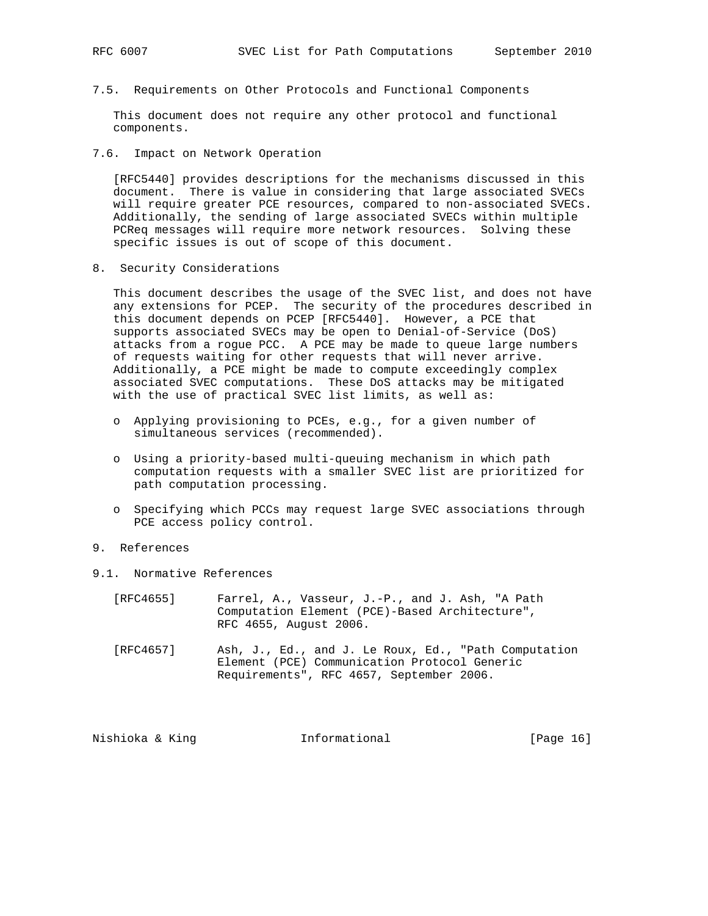7.5. Requirements on Other Protocols and Functional Components

 This document does not require any other protocol and functional components.

7.6. Impact on Network Operation

 [RFC5440] provides descriptions for the mechanisms discussed in this document. There is value in considering that large associated SVECs will require greater PCE resources, compared to non-associated SVECs. Additionally, the sending of large associated SVECs within multiple PCReq messages will require more network resources. Solving these specific issues is out of scope of this document.

8. Security Considerations

 This document describes the usage of the SVEC list, and does not have any extensions for PCEP. The security of the procedures described in this document depends on PCEP [RFC5440]. However, a PCE that supports associated SVECs may be open to Denial-of-Service (DoS) attacks from a rogue PCC. A PCE may be made to queue large numbers of requests waiting for other requests that will never arrive. Additionally, a PCE might be made to compute exceedingly complex associated SVEC computations. These DoS attacks may be mitigated with the use of practical SVEC list limits, as well as:

- o Applying provisioning to PCEs, e.g., for a given number of simultaneous services (recommended).
- o Using a priority-based multi-queuing mechanism in which path computation requests with a smaller SVEC list are prioritized for path computation processing.
- o Specifying which PCCs may request large SVEC associations through PCE access policy control.
- 9. References
- 9.1. Normative References

| [RFC4655] | Farrel, A., Vasseur, J.-P., and J. Ash, "A Path |
|-----------|-------------------------------------------------|
|           | Computation Element (PCE)-Based Architecture",  |
|           | RFC 4655, August 2006.                          |
|           |                                                 |

 [RFC4657] Ash, J., Ed., and J. Le Roux, Ed., "Path Computation Element (PCE) Communication Protocol Generic Requirements", RFC 4657, September 2006.

| [Page 16]<br>Nishioka & Kinq<br>Informational |
|-----------------------------------------------|
|-----------------------------------------------|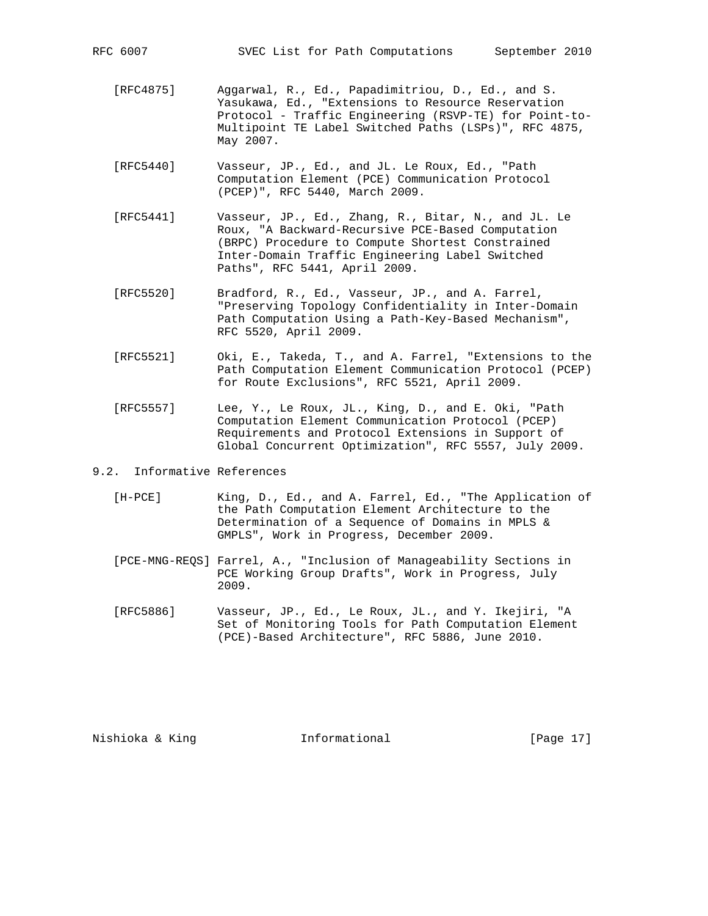- [RFC4875] Aggarwal, R., Ed., Papadimitriou, D., Ed., and S. Yasukawa, Ed., "Extensions to Resource Reservation Protocol - Traffic Engineering (RSVP-TE) for Point-to- Multipoint TE Label Switched Paths (LSPs)", RFC 4875, May 2007.
- [RFC5440] Vasseur, JP., Ed., and JL. Le Roux, Ed., "Path Computation Element (PCE) Communication Protocol (PCEP)", RFC 5440, March 2009.
- [RFC5441] Vasseur, JP., Ed., Zhang, R., Bitar, N., and JL. Le Roux, "A Backward-Recursive PCE-Based Computation (BRPC) Procedure to Compute Shortest Constrained Inter-Domain Traffic Engineering Label Switched Paths", RFC 5441, April 2009.
- [RFC5520] Bradford, R., Ed., Vasseur, JP., and A. Farrel, "Preserving Topology Confidentiality in Inter-Domain Path Computation Using a Path-Key-Based Mechanism", RFC 5520, April 2009.
- [RFC5521] Oki, E., Takeda, T., and A. Farrel, "Extensions to the Path Computation Element Communication Protocol (PCEP) for Route Exclusions", RFC 5521, April 2009.
- [RFC5557] Lee, Y., Le Roux, JL., King, D., and E. Oki, "Path Computation Element Communication Protocol (PCEP) Requirements and Protocol Extensions in Support of Global Concurrent Optimization", RFC 5557, July 2009.
- 9.2. Informative References
	- [H-PCE] King, D., Ed., and A. Farrel, Ed., "The Application of the Path Computation Element Architecture to the Determination of a Sequence of Domains in MPLS & GMPLS", Work in Progress, December 2009.
	- [PCE-MNG-REQS] Farrel, A., "Inclusion of Manageability Sections in PCE Working Group Drafts", Work in Progress, July 2009.
	- [RFC5886] Vasseur, JP., Ed., Le Roux, JL., and Y. Ikejiri, "A Set of Monitoring Tools for Path Computation Element (PCE)-Based Architecture", RFC 5886, June 2010.

Nishioka & King **Informational** [Page 17]